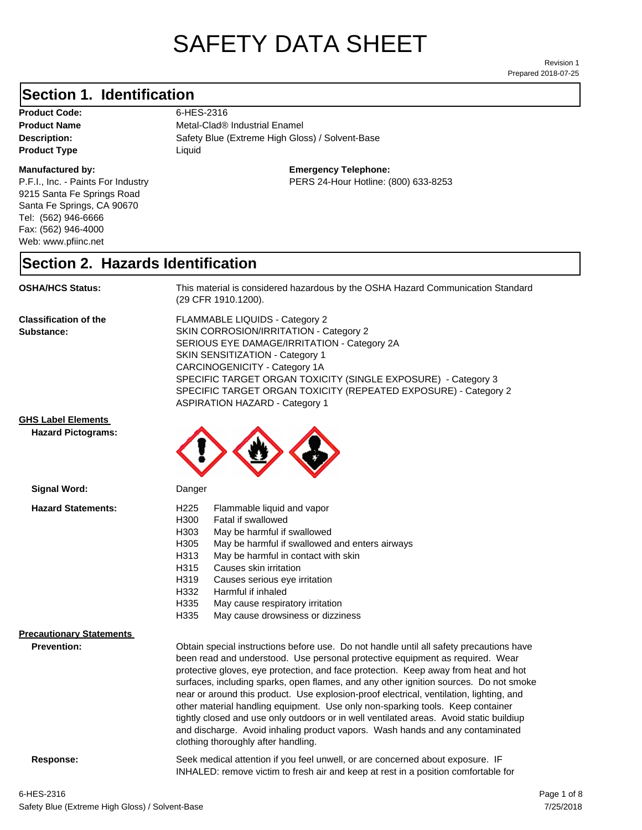# SAFETY DATA SHEET

Prepared 2018-07-25 Revision 1

### **Section 1. Identification**

Product Code: 6-HES-2316 **Product Type Liquid Liquid** 

#### **Manufactured by:**

P.F.I., Inc. - Paints For Industry 9215 Santa Fe Springs Road Santa Fe Springs, CA 90670 Tel: (562) 946-6666 Fax: (562) 946-4000 Web: www.pfiinc.net

Description: Safety Blue (Extreme High Gloss) / Solvent-Base **Product Name** Metal-Clad<sup>®</sup> Industrial Enamel

**Emergency Telephone:**

PERS 24-Hour Hotline: (800) 633-8253

#### **Section 2. Hazards Identification**

**OSHA/HCS Status:** This material is considered hazardous by the OSHA Hazard Communication Standard (29 CFR 1910.1200).

**Classification of the Substance:**

FLAMMABLE LIQUIDS - Category 2 SKIN CORROSION/IRRITATION - Category 2 SERIOUS EYE DAMAGE/IRRITATION - Category 2A SKIN SENSITIZATION - Category 1 CARCINOGENICITY - Category 1A SPECIFIC TARGET ORGAN TOXICITY (SINGLE EXPOSURE) - Category 3 SPECIFIC TARGET ORGAN TOXICITY (REPEATED EXPOSURE) - Category 2 ASPIRATION HAZARD - Category 1

#### **GHS Label Elements**

**Signal Word:**

**Hazard Pictograms:**



| <b>Hazard Statements:</b><br>H <sub>225</sub><br>Flammable liquid and vapor<br>H300<br>Fatal if swallowed<br>H303<br>May be harmful if swallowed<br>H305<br>May be harmful if swallowed and enters airways<br>H313<br>May be harmful in contact with skin<br>H315<br>Causes skin irritation<br>H319<br>Causes serious eye irritation<br>H332<br>Harmful if inhaled<br>H335<br>May cause respiratory irritation<br>H335<br>May cause drowsiness or dizziness<br><b>Precautionary Statements</b><br>Prevention:<br>Obtain special instructions before use. Do not handle until all safety precautions have<br>been read and understood. Use personal protective equipment as required. Wear<br>protective gloves, eye protection, and face protection. Keep away from heat and hot<br>surfaces, including sparks, open flames, and any other ignition sources. Do not smoke<br>near or around this product. Use explosion-proof electrical, ventilation, lighting, and<br>other material handling equipment. Use only non-sparking tools. Keep container<br>tightly closed and use only outdoors or in well ventilated areas. Avoid static buildiup<br>and discharge. Avoid inhaling product vapors. Wash hands and any contaminated<br>clothing thoroughly after handling. | <b></b> | pangon |  |
|---------------------------------------------------------------------------------------------------------------------------------------------------------------------------------------------------------------------------------------------------------------------------------------------------------------------------------------------------------------------------------------------------------------------------------------------------------------------------------------------------------------------------------------------------------------------------------------------------------------------------------------------------------------------------------------------------------------------------------------------------------------------------------------------------------------------------------------------------------------------------------------------------------------------------------------------------------------------------------------------------------------------------------------------------------------------------------------------------------------------------------------------------------------------------------------------------------------------------------------------------------------------------|---------|--------|--|
|                                                                                                                                                                                                                                                                                                                                                                                                                                                                                                                                                                                                                                                                                                                                                                                                                                                                                                                                                                                                                                                                                                                                                                                                                                                                           |         |        |  |
|                                                                                                                                                                                                                                                                                                                                                                                                                                                                                                                                                                                                                                                                                                                                                                                                                                                                                                                                                                                                                                                                                                                                                                                                                                                                           |         |        |  |

**Response:** Seek medical attention if you feel unwell, or are concerned about exposure. IF INHALED: remove victim to fresh air and keep at rest in a position comfortable for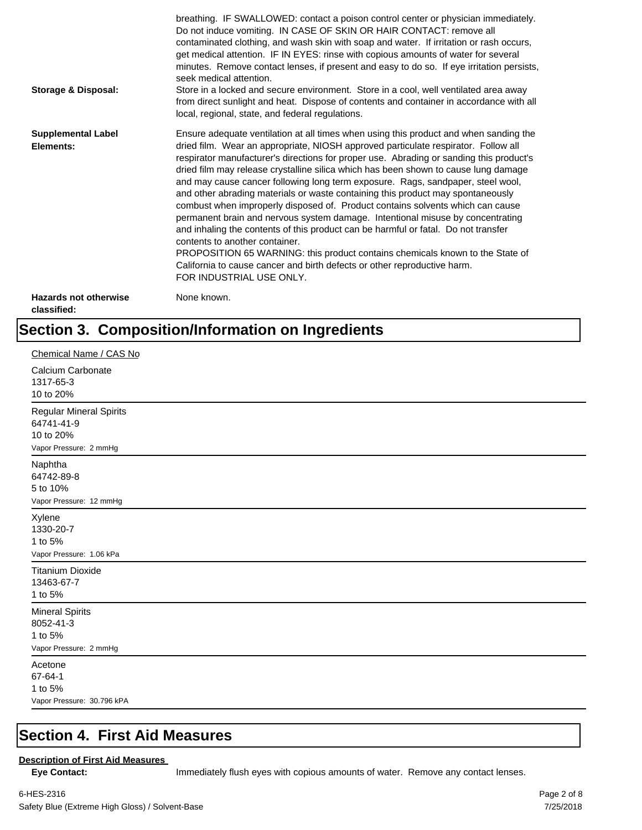| <b>Storage &amp; Disposal:</b>              | breathing. IF SWALLOWED: contact a poison control center or physician immediately.<br>Do not induce vomiting. IN CASE OF SKIN OR HAIR CONTACT: remove all<br>contaminated clothing, and wash skin with soap and water. If irritation or rash occurs,<br>get medical attention. IF IN EYES: rinse with copious amounts of water for several<br>minutes. Remove contact lenses, if present and easy to do so. If eye irritation persists,<br>seek medical attention.<br>Store in a locked and secure environment. Store in a cool, well ventilated area away<br>from direct sunlight and heat. Dispose of contents and container in accordance with all<br>local, regional, state, and federal regulations.                                                                                                                                                                                                                                                                                                                |
|---------------------------------------------|--------------------------------------------------------------------------------------------------------------------------------------------------------------------------------------------------------------------------------------------------------------------------------------------------------------------------------------------------------------------------------------------------------------------------------------------------------------------------------------------------------------------------------------------------------------------------------------------------------------------------------------------------------------------------------------------------------------------------------------------------------------------------------------------------------------------------------------------------------------------------------------------------------------------------------------------------------------------------------------------------------------------------|
| <b>Supplemental Label</b><br>Elements:      | Ensure adequate ventilation at all times when using this product and when sanding the<br>dried film. Wear an appropriate, NIOSH approved particulate respirator. Follow all<br>respirator manufacturer's directions for proper use. Abrading or sanding this product's<br>dried film may release crystalline silica which has been shown to cause lung damage<br>and may cause cancer following long term exposure. Rags, sandpaper, steel wool,<br>and other abrading materials or waste containing this product may spontaneously<br>combust when improperly disposed of. Product contains solvents which can cause<br>permanent brain and nervous system damage. Intentional misuse by concentrating<br>and inhaling the contents of this product can be harmful or fatal. Do not transfer<br>contents to another container.<br>PROPOSITION 65 WARNING: this product contains chemicals known to the State of<br>California to cause cancer and birth defects or other reproductive harm.<br>FOR INDUSTRIAL USE ONLY. |
| <b>Hazards not otherwise</b><br>classified: | None known.                                                                                                                                                                                                                                                                                                                                                                                                                                                                                                                                                                                                                                                                                                                                                                                                                                                                                                                                                                                                              |

## **Section 3. Composition/Information on Ingredients**

| Chemical Name / CAS No                                                              |
|-------------------------------------------------------------------------------------|
| Calcium Carbonate<br>1317-65-3<br>10 to 20%                                         |
| <b>Regular Mineral Spirits</b><br>64741-41-9<br>10 to 20%<br>Vapor Pressure: 2 mmHg |
| Naphtha<br>64742-89-8<br>5 to 10%<br>Vapor Pressure: 12 mmHg                        |
| Xylene<br>1330-20-7<br>1 to 5%<br>Vapor Pressure: 1.06 kPa                          |
| <b>Titanium Dioxide</b><br>13463-67-7<br>1 to 5%                                    |
| <b>Mineral Spirits</b><br>8052-41-3<br>1 to 5%<br>Vapor Pressure: 2 mmHg            |
| Acetone<br>67-64-1<br>1 to 5%<br>Vapor Pressure: 30.796 kPA                         |

#### **Section 4. First Aid Measures**

#### **Description of First Aid Measures**

Eye Contact: **IMMED** Immediately flush eyes with copious amounts of water. Remove any contact lenses.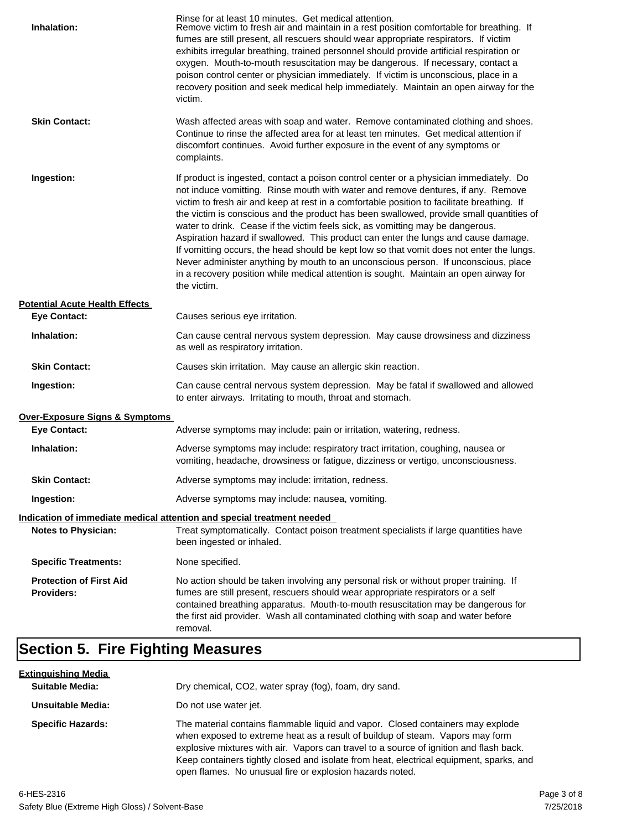| Inhalation:                                  | Rinse for at least 10 minutes. Get medical attention.<br>Remove victim to fresh air and maintain in a rest position comfortable for breathing. If<br>fumes are still present, all rescuers should wear appropriate respirators. If victim<br>exhibits irregular breathing, trained personnel should provide artificial respiration or<br>oxygen. Mouth-to-mouth resuscitation may be dangerous. If necessary, contact a<br>poison control center or physician immediately. If victim is unconscious, place in a<br>recovery position and seek medical help immediately. Maintain an open airway for the<br>victim.                                                                                                                                                                                                                    |
|----------------------------------------------|---------------------------------------------------------------------------------------------------------------------------------------------------------------------------------------------------------------------------------------------------------------------------------------------------------------------------------------------------------------------------------------------------------------------------------------------------------------------------------------------------------------------------------------------------------------------------------------------------------------------------------------------------------------------------------------------------------------------------------------------------------------------------------------------------------------------------------------|
| <b>Skin Contact:</b>                         | Wash affected areas with soap and water. Remove contaminated clothing and shoes.<br>Continue to rinse the affected area for at least ten minutes. Get medical attention if<br>discomfort continues. Avoid further exposure in the event of any symptoms or<br>complaints.                                                                                                                                                                                                                                                                                                                                                                                                                                                                                                                                                             |
| Ingestion:                                   | If product is ingested, contact a poison control center or a physician immediately. Do<br>not induce vomitting. Rinse mouth with water and remove dentures, if any. Remove<br>victim to fresh air and keep at rest in a comfortable position to facilitate breathing. If<br>the victim is conscious and the product has been swallowed, provide small quantities of<br>water to drink. Cease if the victim feels sick, as vomitting may be dangerous.<br>Aspiration hazard if swallowed. This product can enter the lungs and cause damage.<br>If vomitting occurs, the head should be kept low so that vomit does not enter the lungs.<br>Never administer anything by mouth to an unconscious person. If unconscious, place<br>in a recovery position while medical attention is sought. Maintain an open airway for<br>the victim. |
| <b>Potential Acute Health Effects</b>        |                                                                                                                                                                                                                                                                                                                                                                                                                                                                                                                                                                                                                                                                                                                                                                                                                                       |
| <b>Eye Contact:</b>                          | Causes serious eye irritation.                                                                                                                                                                                                                                                                                                                                                                                                                                                                                                                                                                                                                                                                                                                                                                                                        |
| Inhalation:                                  | Can cause central nervous system depression. May cause drowsiness and dizziness<br>as well as respiratory irritation.                                                                                                                                                                                                                                                                                                                                                                                                                                                                                                                                                                                                                                                                                                                 |
| <b>Skin Contact:</b>                         | Causes skin irritation. May cause an allergic skin reaction.                                                                                                                                                                                                                                                                                                                                                                                                                                                                                                                                                                                                                                                                                                                                                                          |
| Ingestion:                                   | Can cause central nervous system depression. May be fatal if swallowed and allowed<br>to enter airways. Irritating to mouth, throat and stomach.                                                                                                                                                                                                                                                                                                                                                                                                                                                                                                                                                                                                                                                                                      |
| Over-Exposure Signs & Symptoms               |                                                                                                                                                                                                                                                                                                                                                                                                                                                                                                                                                                                                                                                                                                                                                                                                                                       |
| <b>Eye Contact:</b>                          | Adverse symptoms may include: pain or irritation, watering, redness.                                                                                                                                                                                                                                                                                                                                                                                                                                                                                                                                                                                                                                                                                                                                                                  |
| Inhalation:                                  | Adverse symptoms may include: respiratory tract irritation, coughing, nausea or<br>vomiting, headache, drowsiness or fatigue, dizziness or vertigo, unconsciousness.                                                                                                                                                                                                                                                                                                                                                                                                                                                                                                                                                                                                                                                                  |
| <b>Skin Contact:</b>                         | Adverse symptoms may include: irritation, redness.                                                                                                                                                                                                                                                                                                                                                                                                                                                                                                                                                                                                                                                                                                                                                                                    |
| Ingestion:                                   | Adverse symptoms may include: nausea, vomiting.                                                                                                                                                                                                                                                                                                                                                                                                                                                                                                                                                                                                                                                                                                                                                                                       |
|                                              | Indication of immediate medical attention and special treatment needed                                                                                                                                                                                                                                                                                                                                                                                                                                                                                                                                                                                                                                                                                                                                                                |
| <b>Notes to Physician:</b>                   | Treat symptomatically. Contact poison treatment specialists if large quantities have<br>been ingested or inhaled.                                                                                                                                                                                                                                                                                                                                                                                                                                                                                                                                                                                                                                                                                                                     |
| <b>Specific Treatments:</b>                  | None specified.                                                                                                                                                                                                                                                                                                                                                                                                                                                                                                                                                                                                                                                                                                                                                                                                                       |
| <b>Protection of First Aid</b><br>Providers: | No action should be taken involving any personal risk or without proper training. If<br>fumes are still present, rescuers should wear appropriate respirators or a self<br>contained breathing apparatus. Mouth-to-mouth resuscitation may be dangerous for<br>the first aid provider. Wash all contaminated clothing with soap and water before<br>removal.                                                                                                                                                                                                                                                                                                                                                                                                                                                                          |

## **Section 5. Fire Fighting Measures**

| <u>Extinquishing Media</u> |                                                                                                                                                                                                                                                                                                                                                                                                                   |
|----------------------------|-------------------------------------------------------------------------------------------------------------------------------------------------------------------------------------------------------------------------------------------------------------------------------------------------------------------------------------------------------------------------------------------------------------------|
| <b>Suitable Media:</b>     | Dry chemical, CO2, water spray (fog), foam, dry sand.                                                                                                                                                                                                                                                                                                                                                             |
| Unsuitable Media:          | Do not use water jet.                                                                                                                                                                                                                                                                                                                                                                                             |
| <b>Specific Hazards:</b>   | The material contains flammable liquid and vapor. Closed containers may explode<br>when exposed to extreme heat as a result of buildup of steam. Vapors may form<br>explosive mixtures with air. Vapors can travel to a source of ignition and flash back.<br>Keep containers tightly closed and isolate from heat, electrical equipment, sparks, and<br>open flames. No unusual fire or explosion hazards noted. |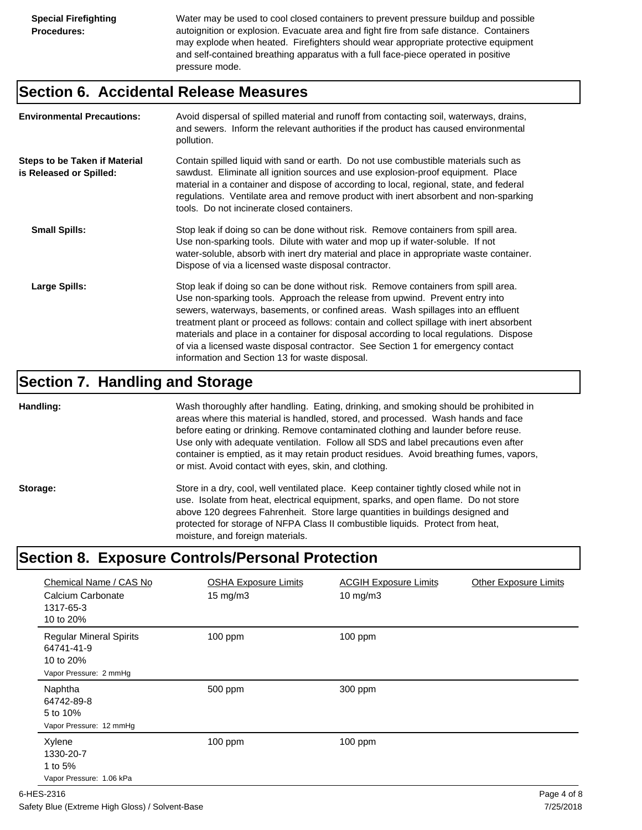Water may be used to cool closed containers to prevent pressure buildup and possible autoignition or explosion. Evacuate area and fight fire from safe distance. Containers may explode when heated. Firefighters should wear appropriate protective equipment and self-contained breathing apparatus with a full face-piece operated in positive pressure mode.

#### **Section 6. Accidental Release Measures**

| <b>Environmental Precautions:</b>                               | Avoid dispersal of spilled material and runoff from contacting soil, waterways, drains,<br>and sewers. Inform the relevant authorities if the product has caused environmental<br>pollution.                                                                                                                                                                                                                                                                                                                                                                                        |
|-----------------------------------------------------------------|-------------------------------------------------------------------------------------------------------------------------------------------------------------------------------------------------------------------------------------------------------------------------------------------------------------------------------------------------------------------------------------------------------------------------------------------------------------------------------------------------------------------------------------------------------------------------------------|
| <b>Steps to be Taken if Material</b><br>is Released or Spilled: | Contain spilled liquid with sand or earth. Do not use combustible materials such as<br>sawdust. Eliminate all ignition sources and use explosion-proof equipment. Place<br>material in a container and dispose of according to local, regional, state, and federal<br>regulations. Ventilate area and remove product with inert absorbent and non-sparking<br>tools. Do not incinerate closed containers.                                                                                                                                                                           |
| <b>Small Spills:</b>                                            | Stop leak if doing so can be done without risk. Remove containers from spill area.<br>Use non-sparking tools. Dilute with water and mop up if water-soluble. If not<br>water-soluble, absorb with inert dry material and place in appropriate waste container.<br>Dispose of via a licensed waste disposal contractor.                                                                                                                                                                                                                                                              |
| Large Spills:                                                   | Stop leak if doing so can be done without risk. Remove containers from spill area.<br>Use non-sparking tools. Approach the release from upwind. Prevent entry into<br>sewers, waterways, basements, or confined areas. Wash spillages into an effluent<br>treatment plant or proceed as follows: contain and collect spillage with inert absorbent<br>materials and place in a container for disposal according to local regulations. Dispose<br>of via a licensed waste disposal contractor. See Section 1 for emergency contact<br>information and Section 13 for waste disposal. |

#### **Section 7. Handling and Storage**

**Handling:** Wash thoroughly after handling. Eating, drinking, and smoking should be prohibited in areas where this material is handled, stored, and processed. Wash hands and face before eating or drinking. Remove contaminated clothing and launder before reuse. Use only with adequate ventilation. Follow all SDS and label precautions even after container is emptied, as it may retain product residues. Avoid breathing fumes, vapors, or mist. Avoid contact with eyes, skin, and clothing.

Storage: Store in a dry, cool, well ventilated place. Keep container tightly closed while not in use. Isolate from heat, electrical equipment, sparks, and open flame. Do not store above 120 degrees Fahrenheit. Store large quantities in buildings designed and protected for storage of NFPA Class II combustible liquids. Protect from heat, moisture, and foreign materials.

## **Section 8. Exposure Controls/Personal Protection**

| Chemical Name / CAS No<br>Calcium Carbonate<br>1317-65-3<br>10 to 20%               | <b>OSHA Exposure Limits</b><br>15 mg/m3 | <b>ACGIH Exposure Limits</b><br>$10 \text{ mg/m}$ 3 | <b>Other Exposure Limits</b> |
|-------------------------------------------------------------------------------------|-----------------------------------------|-----------------------------------------------------|------------------------------|
| <b>Regular Mineral Spirits</b><br>64741-41-9<br>10 to 20%<br>Vapor Pressure: 2 mmHg | $100$ ppm                               | 100 ppm                                             |                              |
| Naphtha<br>64742-89-8<br>5 to 10%<br>Vapor Pressure: 12 mmHg                        | 500 ppm                                 | 300 ppm                                             |                              |
| Xylene<br>1330-20-7<br>1 to 5%<br>Vapor Pressure: 1.06 kPa                          | $100$ ppm                               | $100$ ppm                                           |                              |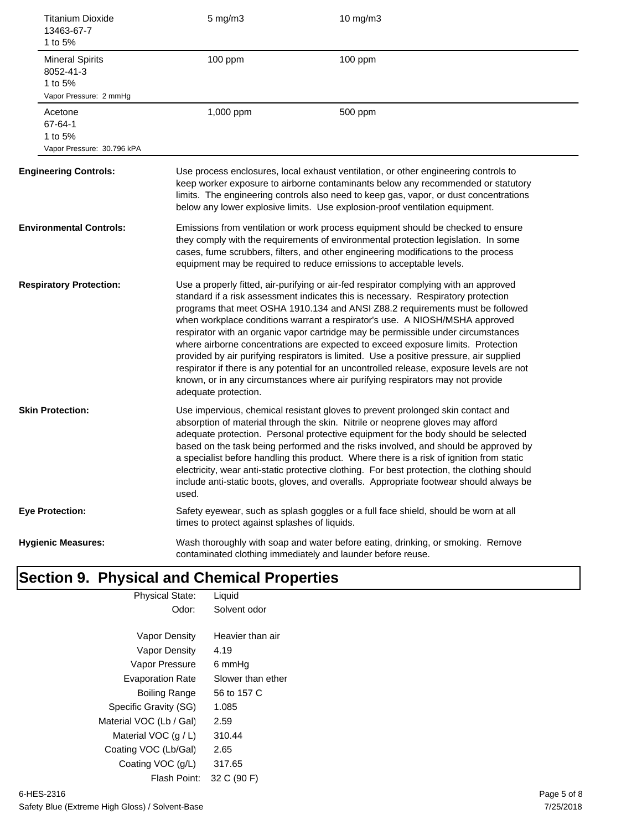| 13463-67-7<br>1 to 5%                          | <b>Titanium Dioxide</b>    | $5$ mg/m $3$                                  | 10 mg/m3                                                                                                                                                                                                                                                                                                                                                                                                                                                                                                                                                                                                                                                                                                                                                                                      |
|------------------------------------------------|----------------------------|-----------------------------------------------|-----------------------------------------------------------------------------------------------------------------------------------------------------------------------------------------------------------------------------------------------------------------------------------------------------------------------------------------------------------------------------------------------------------------------------------------------------------------------------------------------------------------------------------------------------------------------------------------------------------------------------------------------------------------------------------------------------------------------------------------------------------------------------------------------|
| <b>Mineral Spirits</b><br>8052-41-3<br>1 to 5% | Vapor Pressure: 2 mmHg     | 100 ppm                                       | 100 ppm                                                                                                                                                                                                                                                                                                                                                                                                                                                                                                                                                                                                                                                                                                                                                                                       |
| Acetone<br>67-64-1<br>1 to 5%                  | Vapor Pressure: 30.796 kPA | 1,000 ppm                                     | 500 ppm                                                                                                                                                                                                                                                                                                                                                                                                                                                                                                                                                                                                                                                                                                                                                                                       |
| <b>Engineering Controls:</b>                   |                            |                                               | Use process enclosures, local exhaust ventilation, or other engineering controls to<br>keep worker exposure to airborne contaminants below any recommended or statutory<br>limits. The engineering controls also need to keep gas, vapor, or dust concentrations<br>below any lower explosive limits. Use explosion-proof ventilation equipment.                                                                                                                                                                                                                                                                                                                                                                                                                                              |
| <b>Environmental Controls:</b>                 |                            |                                               | Emissions from ventilation or work process equipment should be checked to ensure<br>they comply with the requirements of environmental protection legislation. In some<br>cases, fume scrubbers, filters, and other engineering modifications to the process<br>equipment may be required to reduce emissions to acceptable levels.                                                                                                                                                                                                                                                                                                                                                                                                                                                           |
| <b>Respiratory Protection:</b>                 |                            | adequate protection.                          | Use a properly fitted, air-purifying or air-fed respirator complying with an approved<br>standard if a risk assessment indicates this is necessary. Respiratory protection<br>programs that meet OSHA 1910.134 and ANSI Z88.2 requirements must be followed<br>when workplace conditions warrant a respirator's use. A NIOSH/MSHA approved<br>respirator with an organic vapor cartridge may be permissible under circumstances<br>where airborne concentrations are expected to exceed exposure limits. Protection<br>provided by air purifying respirators is limited. Use a positive pressure, air supplied<br>respirator if there is any potential for an uncontrolled release, exposure levels are not<br>known, or in any circumstances where air purifying respirators may not provide |
| <b>Skin Protection:</b>                        |                            | used.                                         | Use impervious, chemical resistant gloves to prevent prolonged skin contact and<br>absorption of material through the skin. Nitrile or neoprene gloves may afford<br>adequate protection. Personal protective equipment for the body should be selected<br>based on the task being performed and the risks involved, and should be approved by<br>a specialist before handling this product. Where there is a risk of ignition from static<br>electricity, wear anti-static protective clothing. For best protection, the clothing should<br>include anti-static boots, gloves, and overalls. Appropriate footwear should always be                                                                                                                                                           |
| <b>Eye Protection:</b>                         |                            | times to protect against splashes of liquids. | Safety eyewear, such as splash goggles or a full face shield, should be worn at all                                                                                                                                                                                                                                                                                                                                                                                                                                                                                                                                                                                                                                                                                                           |
| <b>Hygienic Measures:</b>                      |                            |                                               | Wash thoroughly with soap and water before eating, drinking, or smoking. Remove<br>contaminated clothing immediately and launder before reuse.                                                                                                                                                                                                                                                                                                                                                                                                                                                                                                                                                                                                                                                |

## **Section 9. Physical and Chemical Properties**

| <b>Physical State:</b>  | Liquid            |  |
|-------------------------|-------------------|--|
| Odor:                   | Solvent odor      |  |
|                         |                   |  |
|                         |                   |  |
| Vapor Density           | Heavier than air  |  |
| Vapor Density           | 4.19              |  |
| Vapor Pressure          | 6 mmHq            |  |
| <b>Evaporation Rate</b> | Slower than ether |  |
| Boiling Range           | 56 to 157 C       |  |
| Specific Gravity (SG)   | 1.085             |  |
| Material VOC (Lb / Gal) | 2.59              |  |
| Material VOC $(q/L)$    | 310.44            |  |
| Coating VOC (Lb/Gal)    | 2.65              |  |
| Coating VOC (g/L)       | 317.65            |  |
| Flash Point:            | 32 C (90 F)       |  |
|                         |                   |  |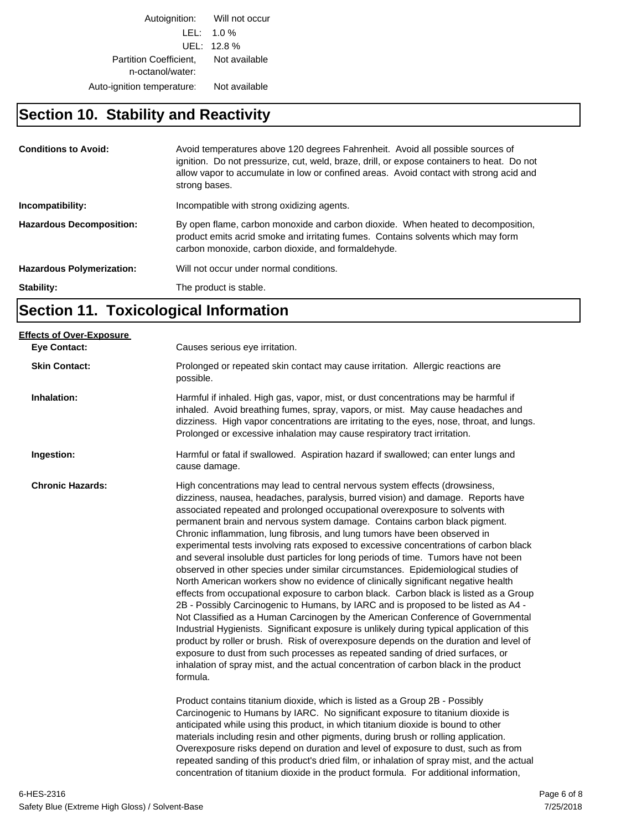Autoignition: Will not occur LEL: 1.0 % UEL: 12.8 % Partition Coefficient, Not available n-octanol/water: Auto-ignition temperature: Not available

#### **Section 10. Stability and Reactivity**

| <b>Conditions to Avoid:</b>      | Avoid temperatures above 120 degrees Fahrenheit. Avoid all possible sources of<br>ignition. Do not pressurize, cut, weld, braze, drill, or expose containers to heat. Do not<br>allow vapor to accumulate in low or confined areas. Avoid contact with strong acid and<br>strong bases. |
|----------------------------------|-----------------------------------------------------------------------------------------------------------------------------------------------------------------------------------------------------------------------------------------------------------------------------------------|
| Incompatibility:                 | Incompatible with strong oxidizing agents.                                                                                                                                                                                                                                              |
| <b>Hazardous Decomposition:</b>  | By open flame, carbon monoxide and carbon dioxide. When heated to decomposition,<br>product emits acrid smoke and irritating fumes. Contains solvents which may form<br>carbon monoxide, carbon dioxide, and formaldehyde.                                                              |
| <b>Hazardous Polymerization:</b> | Will not occur under normal conditions.                                                                                                                                                                                                                                                 |
| Stability:                       | The product is stable.                                                                                                                                                                                                                                                                  |

## **Section 11. Toxicological Information**

| <b>Effects of Over-Exposure</b> |                                                                                                                                                                                                                                                                                                                                                                                                                                                                                                                                                                                                                                                                                                                                                                                                                                                                                                                                                                                                                                                                                                                                                                                                                                                                                                                                                                                                                                                                                                                                                                                                                                                                            |
|---------------------------------|----------------------------------------------------------------------------------------------------------------------------------------------------------------------------------------------------------------------------------------------------------------------------------------------------------------------------------------------------------------------------------------------------------------------------------------------------------------------------------------------------------------------------------------------------------------------------------------------------------------------------------------------------------------------------------------------------------------------------------------------------------------------------------------------------------------------------------------------------------------------------------------------------------------------------------------------------------------------------------------------------------------------------------------------------------------------------------------------------------------------------------------------------------------------------------------------------------------------------------------------------------------------------------------------------------------------------------------------------------------------------------------------------------------------------------------------------------------------------------------------------------------------------------------------------------------------------------------------------------------------------------------------------------------------------|
| <b>Eye Contact:</b>             | Causes serious eye irritation.                                                                                                                                                                                                                                                                                                                                                                                                                                                                                                                                                                                                                                                                                                                                                                                                                                                                                                                                                                                                                                                                                                                                                                                                                                                                                                                                                                                                                                                                                                                                                                                                                                             |
| <b>Skin Contact:</b>            | Prolonged or repeated skin contact may cause irritation. Allergic reactions are<br>possible.                                                                                                                                                                                                                                                                                                                                                                                                                                                                                                                                                                                                                                                                                                                                                                                                                                                                                                                                                                                                                                                                                                                                                                                                                                                                                                                                                                                                                                                                                                                                                                               |
| Inhalation:                     | Harmful if inhaled. High gas, vapor, mist, or dust concentrations may be harmful if<br>inhaled. Avoid breathing fumes, spray, vapors, or mist. May cause headaches and<br>dizziness. High vapor concentrations are irritating to the eyes, nose, throat, and lungs.<br>Prolonged or excessive inhalation may cause respiratory tract irritation.                                                                                                                                                                                                                                                                                                                                                                                                                                                                                                                                                                                                                                                                                                                                                                                                                                                                                                                                                                                                                                                                                                                                                                                                                                                                                                                           |
| Ingestion:                      | Harmful or fatal if swallowed. Aspiration hazard if swallowed; can enter lungs and<br>cause damage.                                                                                                                                                                                                                                                                                                                                                                                                                                                                                                                                                                                                                                                                                                                                                                                                                                                                                                                                                                                                                                                                                                                                                                                                                                                                                                                                                                                                                                                                                                                                                                        |
| <b>Chronic Hazards:</b>         | High concentrations may lead to central nervous system effects (drowsiness,<br>dizziness, nausea, headaches, paralysis, burred vision) and damage. Reports have<br>associated repeated and prolonged occupational overexposure to solvents with<br>permanent brain and nervous system damage. Contains carbon black pigment.<br>Chronic inflammation, lung fibrosis, and lung tumors have been observed in<br>experimental tests involving rats exposed to excessive concentrations of carbon black<br>and several insoluble dust particles for long periods of time. Tumors have not been<br>observed in other species under similar circumstances. Epidemiological studies of<br>North American workers show no evidence of clinically significant negative health<br>effects from occupational exposure to carbon black. Carbon black is listed as a Group<br>2B - Possibly Carcinogenic to Humans, by IARC and is proposed to be listed as A4 -<br>Not Classified as a Human Carcinogen by the American Conference of Governmental<br>Industrial Hygienists. Significant exposure is unlikely during typical application of this<br>product by roller or brush. Risk of overexposure depends on the duration and level of<br>exposure to dust from such processes as repeated sanding of dried surfaces, or<br>inhalation of spray mist, and the actual concentration of carbon black in the product<br>formula.<br>Product contains titanium dioxide, which is listed as a Group 2B - Possibly<br>Carcinogenic to Humans by IARC. No significant exposure to titanium dioxide is<br>anticipated while using this product, in which titanium dioxide is bound to other |
|                                 | materials including resin and other pigments, during brush or rolling application.<br>Overexposure risks depend on duration and level of exposure to dust, such as from<br>repeated sanding of this product's dried film, or inhalation of spray mist, and the actual<br>concentration of titanium dioxide in the product formula. For additional information,                                                                                                                                                                                                                                                                                                                                                                                                                                                                                                                                                                                                                                                                                                                                                                                                                                                                                                                                                                                                                                                                                                                                                                                                                                                                                                             |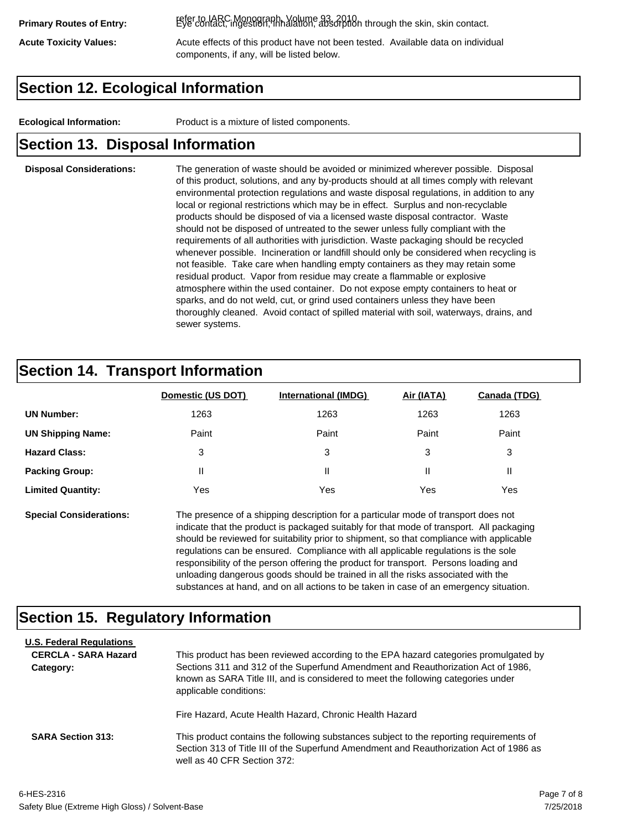refer to IARC Monograph, Volume 93, 2010. **Primary Routes of Entry:** Eye contact, ingestion, inhalation, absorption through the skin, skin contact.

Acute Toxicity Values: **Acute effects of this product have not been tested.** Available data on individual components, if any, will be listed below.

### **Section 12. Ecological Information**

**Ecological Information:** Product is a mixture of listed components.

#### **Section 13. Disposal Information**

#### **Disposal Considerations:** The generation of waste should be avoided or minimized wherever possible. Disposal of this product, solutions, and any by-products should at all times comply with relevant environmental protection regulations and waste disposal regulations, in addition to any local or regional restrictions which may be in effect. Surplus and non-recyclable products should be disposed of via a licensed waste disposal contractor. Waste should not be disposed of untreated to the sewer unless fully compliant with the requirements of all authorities with jurisdiction. Waste packaging should be recycled whenever possible. Incineration or landfill should only be considered when recycling is not feasible. Take care when handling empty containers as they may retain some residual product. Vapor from residue may create a flammable or explosive atmosphere within the used container. Do not expose empty containers to heat or sparks, and do not weld, cut, or grind used containers unless they have been thoroughly cleaned. Avoid contact of spilled material with soil, waterways, drains, and sewer systems.

### **Section 14. Transport Information**

|                          | Domestic (US DOT) | <b>International (IMDG)</b> | Air (IATA) | <b>Canada (TDG)</b> |
|--------------------------|-------------------|-----------------------------|------------|---------------------|
| <b>UN Number:</b>        | 1263              | 1263                        | 1263       | 1263                |
| <b>UN Shipping Name:</b> | Paint             | Paint                       | Paint      | Paint               |
| <b>Hazard Class:</b>     | 3                 | 3                           | 3          | 3                   |
| <b>Packing Group:</b>    | Ш                 | Ш                           |            |                     |
| <b>Limited Quantity:</b> | Yes               | Yes                         | Yes        | Yes                 |

**Special Considerations:** The presence of a shipping description for a particular mode of transport does not indicate that the product is packaged suitably for that mode of transport. All packaging should be reviewed for suitability prior to shipment, so that compliance with applicable regulations can be ensured. Compliance with all applicable regulations is the sole responsibility of the person offering the product for transport. Persons loading and unloading dangerous goods should be trained in all the risks associated with the substances at hand, and on all actions to be taken in case of an emergency situation.

#### **Section 15. Regulatory Information**

| <b>U.S. Federal Regulations</b><br><b>CERCLA - SARA Hazard</b><br>Category: | This product has been reviewed according to the EPA hazard categories promulgated by<br>Sections 311 and 312 of the Superfund Amendment and Reauthorization Act of 1986,<br>known as SARA Title III, and is considered to meet the following categories under<br>applicable conditions: |
|-----------------------------------------------------------------------------|-----------------------------------------------------------------------------------------------------------------------------------------------------------------------------------------------------------------------------------------------------------------------------------------|
| <b>SARA Section 313:</b>                                                    | Fire Hazard, Acute Health Hazard, Chronic Health Hazard<br>This product contains the following substances subject to the reporting requirements of                                                                                                                                      |
|                                                                             | Section 313 of Title III of the Superfund Amendment and Reauthorization Act of 1986 as<br>well as 40 CFR Section 372:                                                                                                                                                                   |